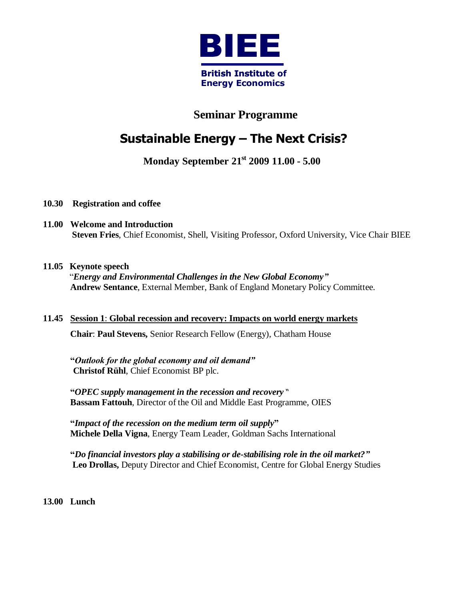

### **Seminar Programme**

# **Sustainable Energy – The Next Crisis?**

### **Monday September 21 st 2009 11.00 - 5.00**

- **10.30 Registration and coffee**
- **11.00 Welcome and Introduction Steven Fries**, Chief Economist, Shell, Visiting Professor, Oxford University, Vice Chair BIEE

### **11.05 Keynote speech**

"*Energy and Environmental Challenges in the New Global Economy"* **Andrew Sentance**, External Member, Bank of England Monetary Policy Committee.

## **11.45 Session 1**: **Global recession and recovery: Impacts on world energy markets Chair**: **Paul Stevens,** Senior Research Fellow (Energy), Chatham House

**"***Outlook for the global economy and oil demand"* **Christof Rühl**, Chief Economist BP plc.

**"***OPEC supply management in the recession and recovery* " **Bassam Fattouh**, Director of the Oil and Middle East Programme, OIES

**"***Impact of the recession on the medium term oil supply***" Michele Della Vigna**, Energy Team Leader, Goldman Sachs International

**"***Do financial investors play a stabilising or de-stabilising role in the oil market?"* **Leo Drollas,** Deputy Director and Chief Economist, Centre for Global Energy Studies

**13.00 Lunch**